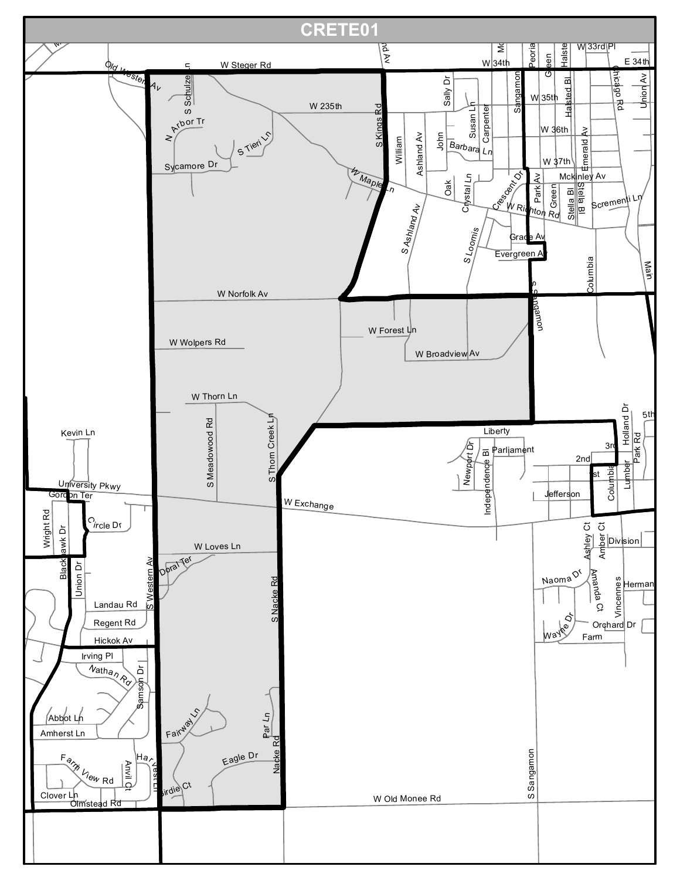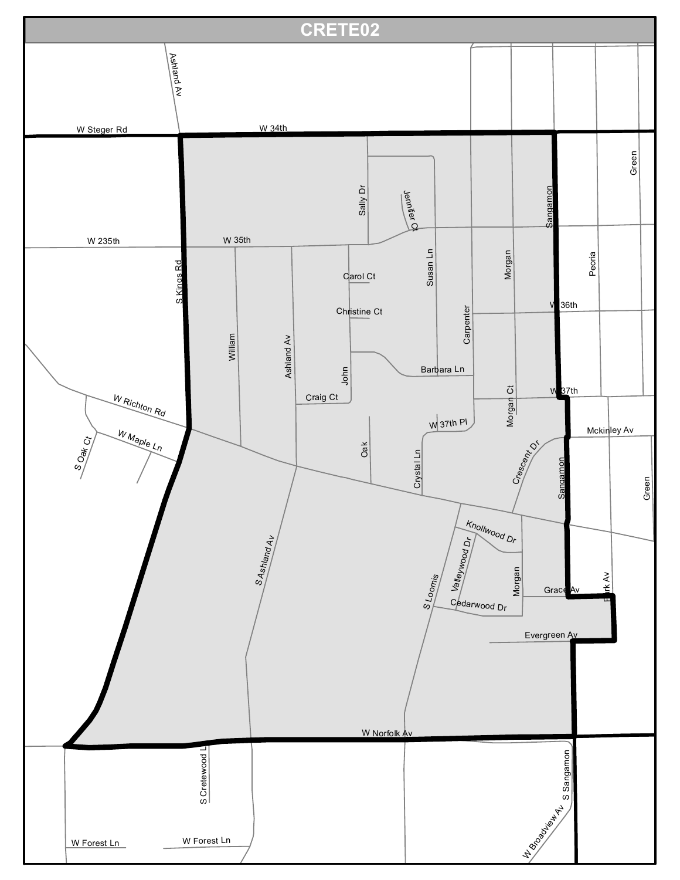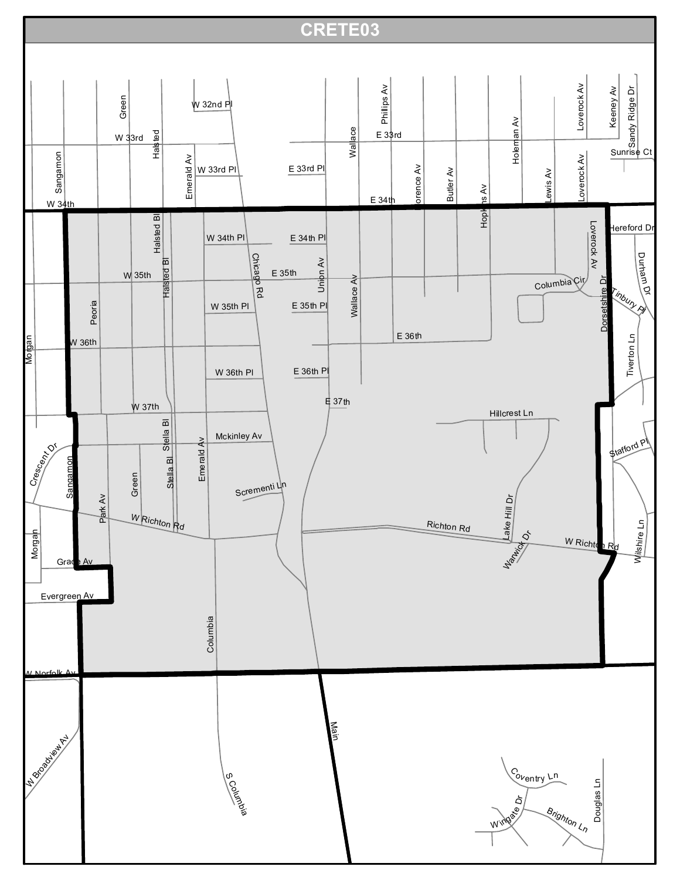## **CRETE03**

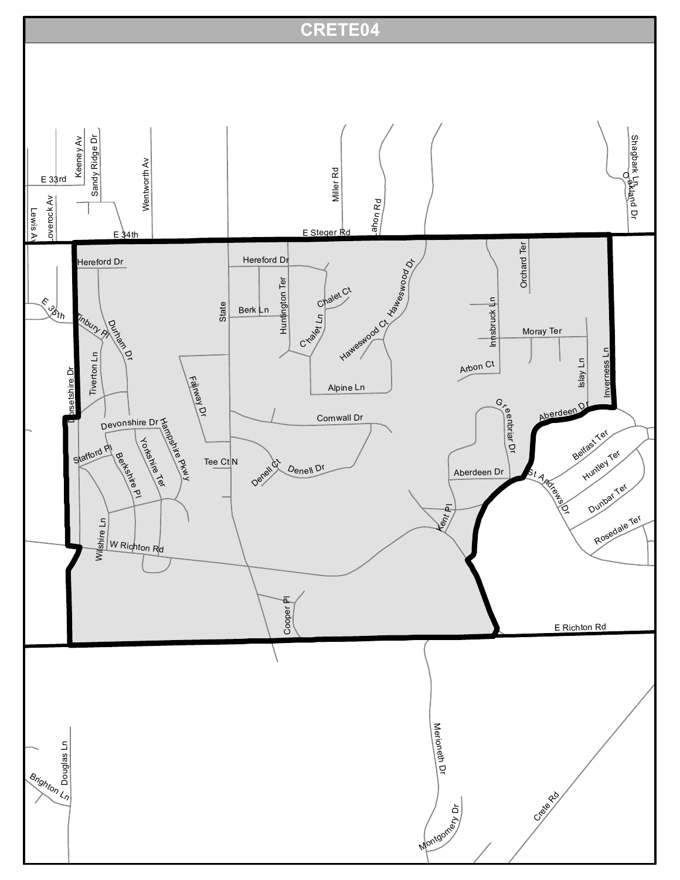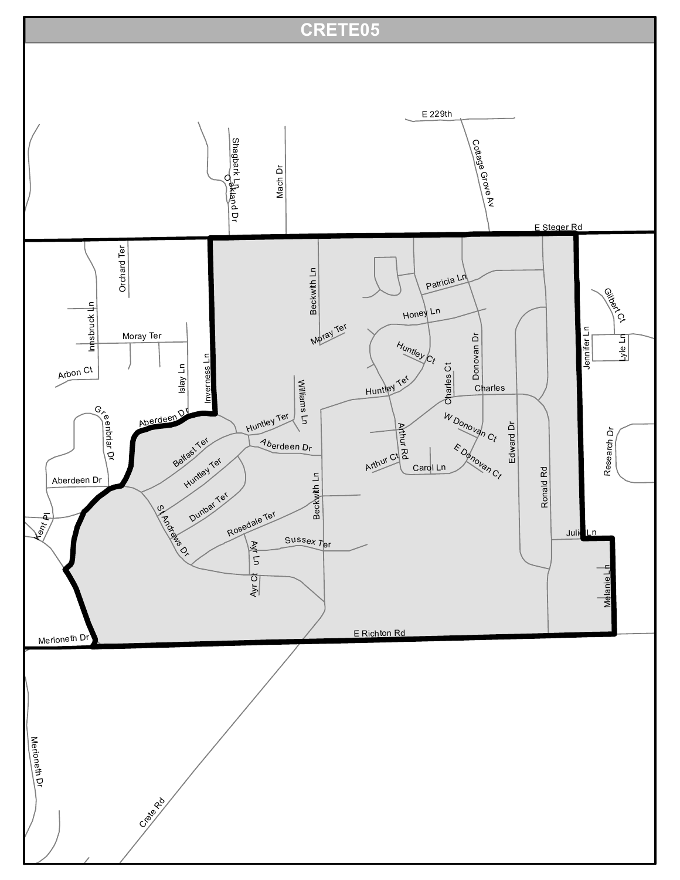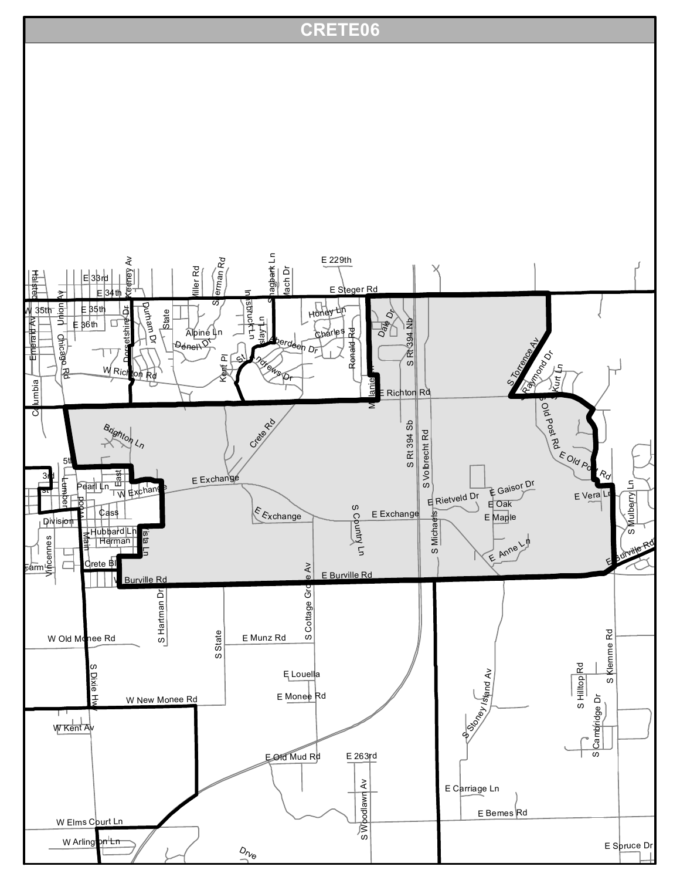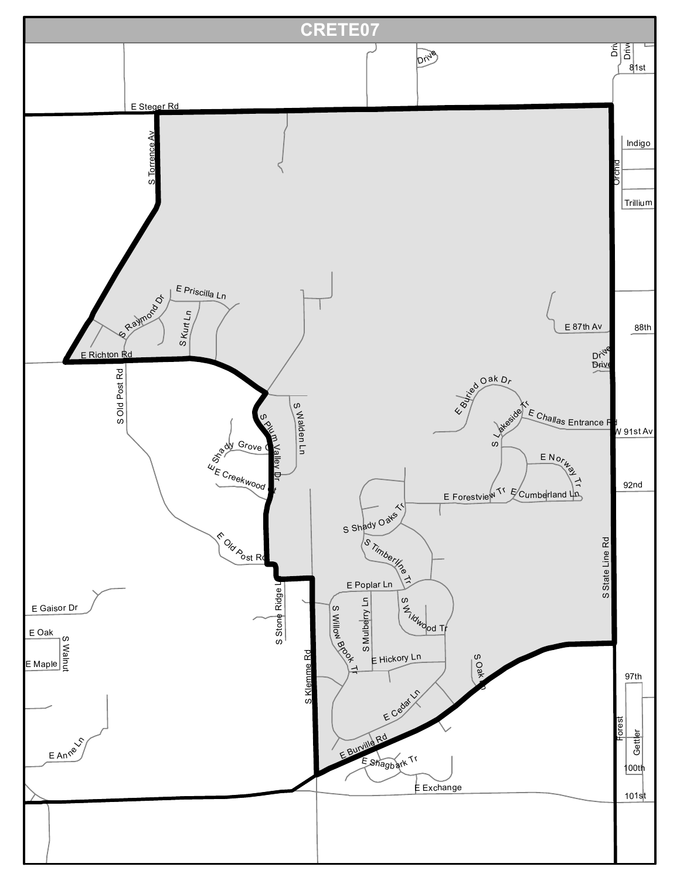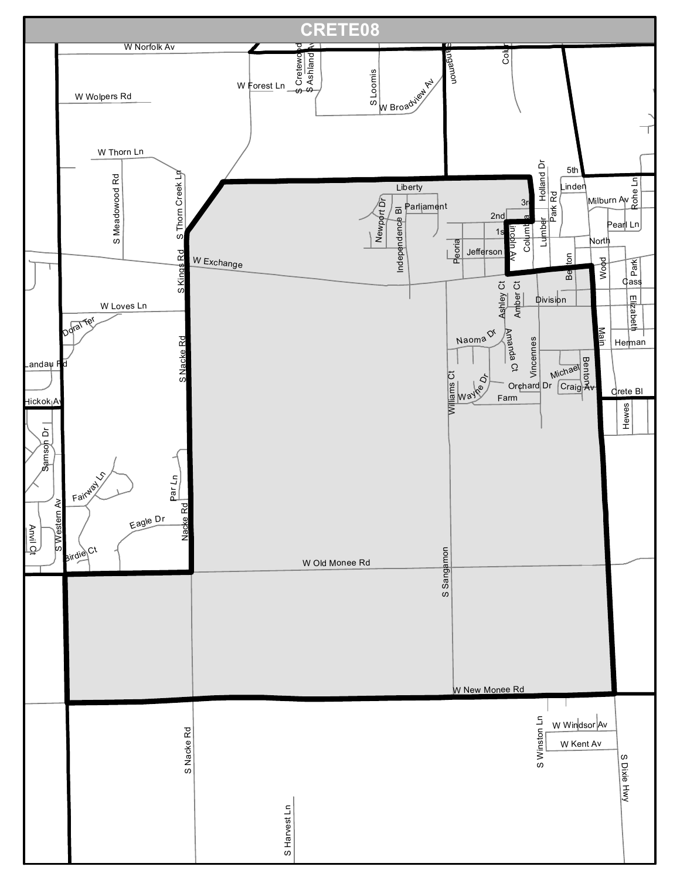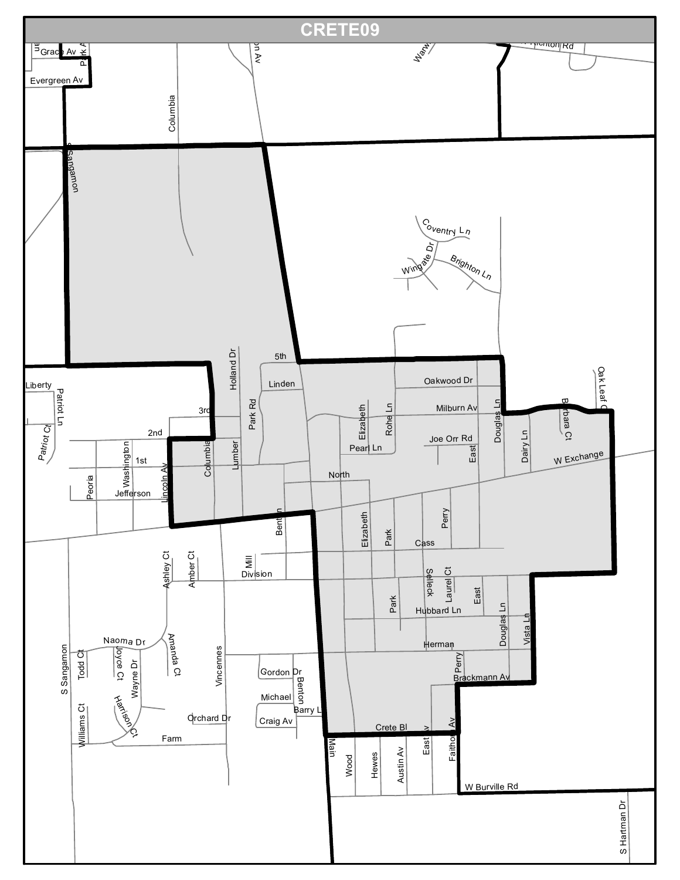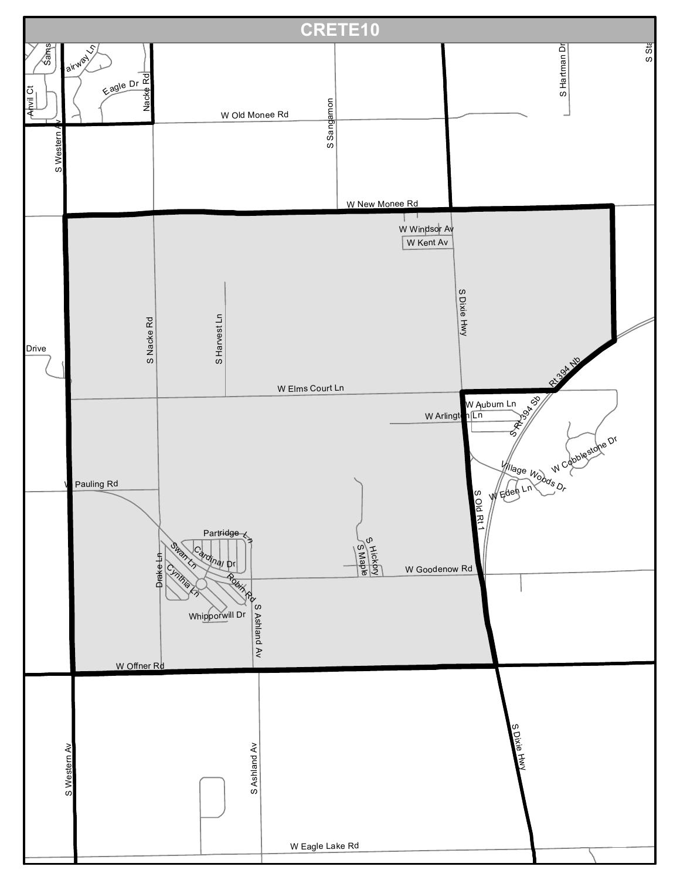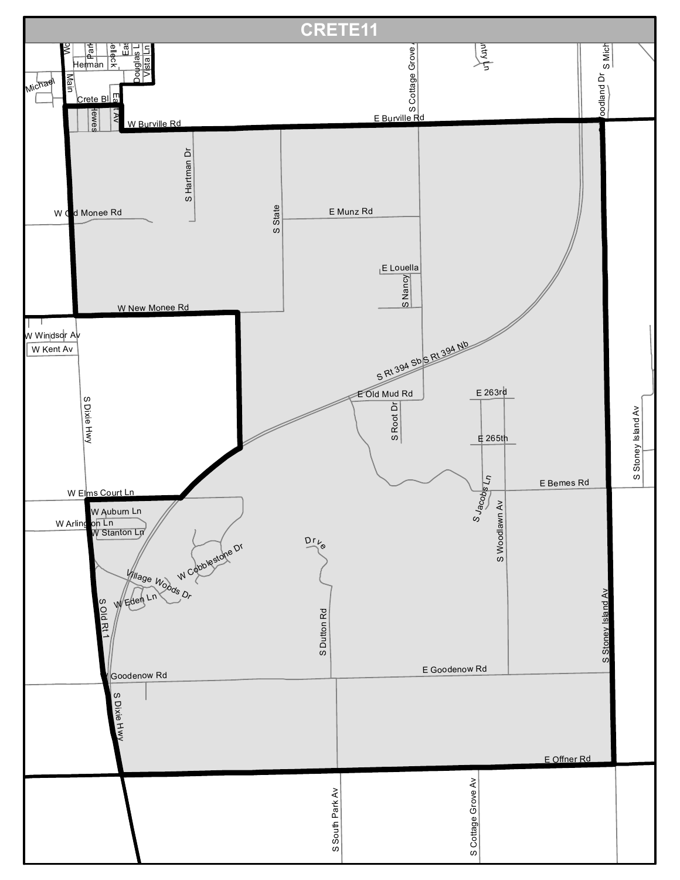